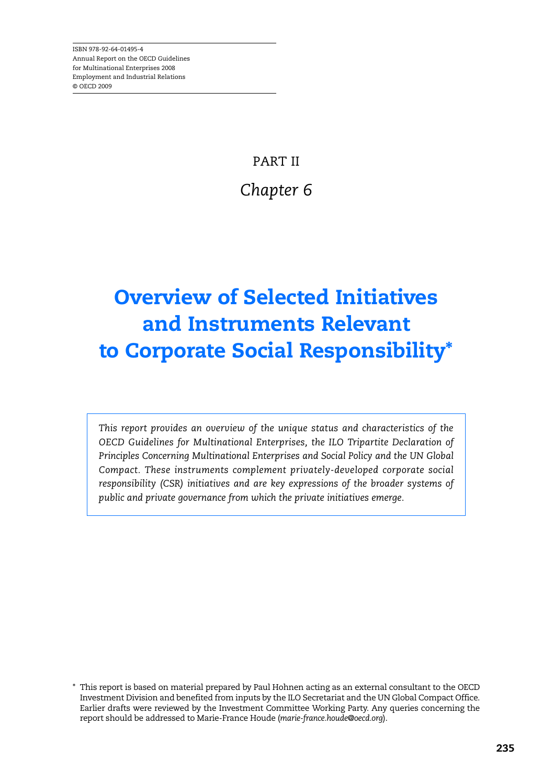PART II *Chapter 6* 

# **Overview of Selected Initiatives and Instruments Relevant to Corporate Social Responsibility\***

*This report provides an overview of the unique status and characteristics of the OECD Guidelines for Multinational Enterprises, the ILO Tripartite Declaration of Principles Concerning Multinational Enterprises and Social Policy and the UN Global Compact. These instruments complement privately-developed corporate social responsibility (CSR) initiatives and are key expressions of the broader systems of public and private governance from which the private initiatives emerge.*

<sup>\*</sup> This report is based on material prepared by Paul Hohnen acting as an external consultant to the OECD Investment Division and benefited from inputs by the ILO Secretariat and the UN Global Compact Office. Earlier drafts were reviewed by the Investment Committee Working Party. Any queries concerning the report should be addressed to Marie-France Houde (*[marie-france.houde@oecd.org](mailto:marie-france.houde@oecd.org)*).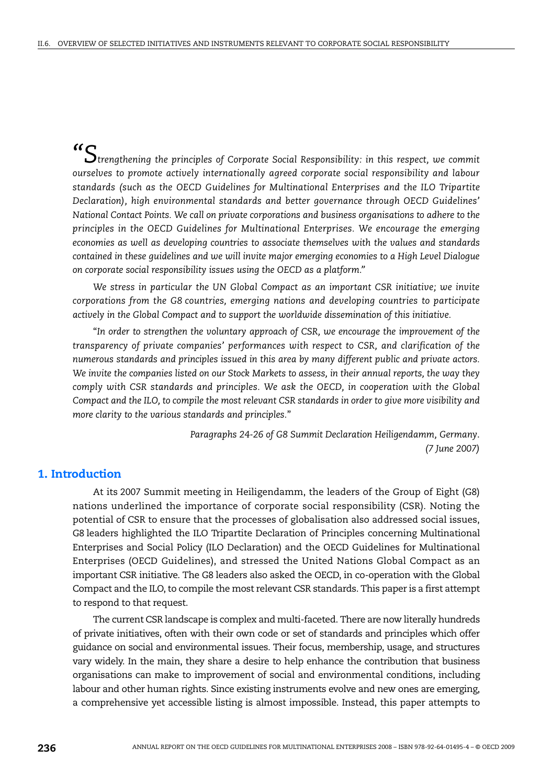*"Strengthening the principles of Corporate Social Responsibility: in this respect, we commit ourselves to promote actively internationally agreed corporate social responsibility and labour standards (such as the OECD Guidelines for Multinational Enterprises and the ILO Tripartite Declaration), high environmental standards and better governance through OECD Guidelines' National Contact Points. We call on private corporations and business organisations to adhere to the principles in the OECD Guidelines for Multinational Enterprises. We encourage the emerging economies as well as developing countries to associate themselves with the values and standards contained in these guidelines and we will invite major emerging economies to a High Level Dialogue on corporate social responsibility issues using the OECD as a platform."*

*We stress in particular the UN Global Compact as an important CSR initiative; we invite corporations from the G8 countries, emerging nations and developing countries to participate actively in the Global Compact and to support the worldwide dissemination of this initiative.*

"*In order to strengthen the voluntary approach of CSR, we encourage the improvement of the transparency of private companies' performances with respect to CSR, and clarification of the numerous standards and principles issued in this area by many different public and private actors. We invite the companies listed on our Stock Markets to assess, in their annual reports, the way they comply with CSR standards and principles. We ask the OECD, in cooperation with the Global Compact and the ILO, to compile the most relevant CSR standards in order to give more visibility and more clarity to the various standards and principles.*"

> *Paragraphs 24-26 of G8 Summit Declaration Heiligendamm, Germany*. *(7 June 2007)*

### **1. Introduction**

At its 2007 Summit meeting in Heiligendamm, the leaders of the Group of Eight (G8) nations underlined the importance of corporate social responsibility (CSR). Noting the potential of CSR to ensure that the processes of globalisation also addressed social issues, G8 leaders highlighted the ILO Tripartite Declaration of Principles concerning Multinational Enterprises and Social Policy (ILO Declaration) and the OECD Guidelines for Multinational Enterprises (OECD Guidelines), and stressed the United Nations Global Compact as an important CSR initiative. The G8 leaders also asked the OECD, in co-operation with the Global Compact and the ILO, to compile the most relevant CSR standards. This paper is a first attempt to respond to that request.

The current CSR landscape is complex and multi-faceted. There are now literally hundreds of private initiatives, often with their own code or set of standards and principles which offer guidance on social and environmental issues. Their focus, membership, usage, and structures vary widely. In the main, they share a desire to help enhance the contribution that business organisations can make to improvement of social and environmental conditions, including labour and other human rights. Since existing instruments evolve and new ones are emerging, a comprehensive yet accessible listing is almost impossible. Instead, this paper attempts to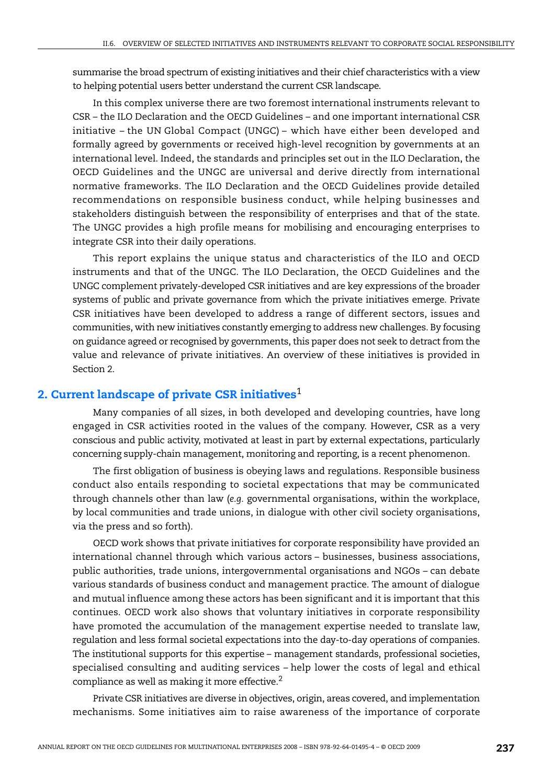summarise the broad spectrum of existing initiatives and their chief characteristics with a view to helping potential users better understand the current CSR landscape.

In this complex universe there are two foremost international instruments relevant to CSR – the ILO Declaration and the OECD Guidelines – and one important international CSR initiative – the UN Global Compact (UNGC) – which have either been developed and formally agreed by governments or received high-level recognition by governments at an international level. Indeed, the standards and principles set out in the ILO Declaration, the OECD Guidelines and the UNGC are universal and derive directly from international normative frameworks. The ILO Declaration and the OECD Guidelines provide detailed recommendations on responsible business conduct, while helping businesses and stakeholders distinguish between the responsibility of enterprises and that of the state. The UNGC provides a high profile means for mobilising and encouraging enterprises to integrate CSR into their daily operations.

This report explains the unique status and characteristics of the ILO and OECD instruments and that of the UNGC. The ILO Declaration, the OECD Guidelines and the UNGC complement privately-developed CSR initiatives and are key expressions of the broader systems of public and private governance from which the private initiatives emerge. Private CSR initiatives have been developed to address a range of different sectors, issues and communities, with new initiatives constantly emerging to address new challenges. By focusing on guidance agreed or recognised by governments, this paper does not seek to detract from the value and relevance of private initiatives. An overview of these initiatives is provided in Section 2.

# **2. Current landscape of private CSR initiatives**<sup>1</sup>

Many companies of all sizes, in both developed and developing countries, have long engaged in CSR activities rooted in the values of the company. However, CSR as a very conscious and public activity, motivated at least in part by external expectations, particularly concerning supply-chain management, monitoring and reporting, is a recent phenomenon.

The first obligation of business is obeying laws and regulations. Responsible business conduct also entails responding to societal expectations that may be communicated through channels other than law (*e.g.* governmental organisations, within the workplace, by local communities and trade unions, in dialogue with other civil society organisations, via the press and so forth).

OECD work shows that private initiatives for corporate responsibility have provided an international channel through which various actors – businesses, business associations, public authorities, trade unions, intergovernmental organisations and NGOs – can debate various standards of business conduct and management practice. The amount of dialogue and mutual influence among these actors has been significant and it is important that this continues. OECD work also shows that voluntary initiatives in corporate responsibility have promoted the accumulation of the management expertise needed to translate law, regulation and less formal societal expectations into the day-to-day operations of companies. The institutional supports for this expertise – management standards, professional societies, specialised consulting and auditing services – help lower the costs of legal and ethical compliance as well as making it more effective.<sup>2</sup>

Private CSR initiatives are diverse in objectives, origin, areas covered, and implementation mechanisms. Some initiatives aim to raise awareness of the importance of corporate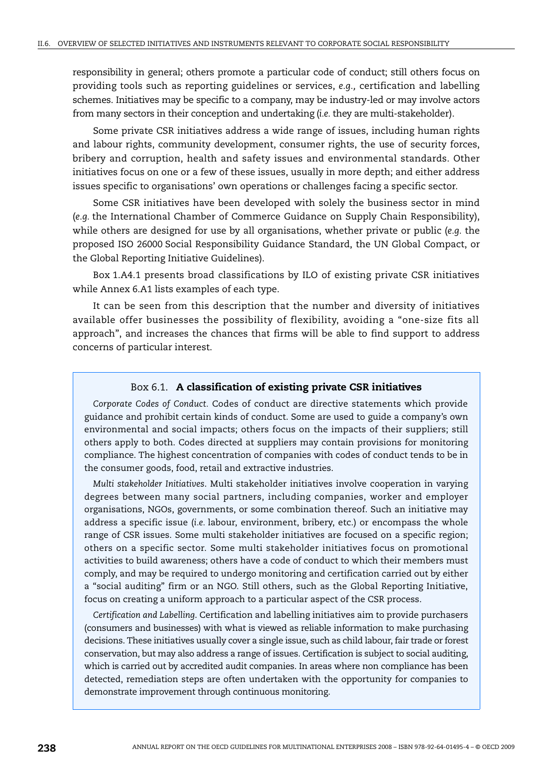responsibility in general; others promote a particular code of conduct; still others focus on providing tools such as reporting guidelines or services, *e.g.,* certification and labelling schemes. Initiatives may be specific to a company, may be industry-led or may involve actors from many sectors in their conception and undertaking (*i.e.* they are multi-stakeholder).

Some private CSR initiatives address a wide range of issues, including human rights and labour rights, community development, consumer rights, the use of security forces, bribery and corruption, health and safety issues and environmental standards. Other initiatives focus on one or a few of these issues, usually in more depth; and either address issues specific to organisations' own operations or challenges facing a specific sector.

Some CSR initiatives have been developed with solely the business sector in mind (*e.g.* the International Chamber of Commerce Guidance on Supply Chain Responsibility), while others are designed for use by all organisations, whether private or public (*e.g.* the proposed ISO 26000 Social Responsibility Guidance Standard, the UN Global Compact, or the Global Reporting Initiative Guidelines).

Box 1.A4.1 presents broad classifications by ILO of existing private CSR initiatives while Annex 6.A1 lists examples of each type.

It can be seen from this description that the number and diversity of initiatives available offer businesses the possibility of flexibility, avoiding a "one-size fits all approach", and increases the chances that firms will be able to find support to address concerns of particular interest.

#### Box 6.1. **A classification of existing private CSR initiatives**

*Corporate Codes of Conduct.* Codes of conduct are directive statements which provide guidance and prohibit certain kinds of conduct. Some are used to guide a company's own environmental and social impacts; others focus on the impacts of their suppliers; still others apply to both. Codes directed at suppliers may contain provisions for monitoring compliance. The highest concentration of companies with codes of conduct tends to be in the consumer goods, food, retail and extractive industries.

*Multi stakeholder Initiatives*. Multi stakeholder initiatives involve cooperation in varying degrees between many social partners, including companies, worker and employer organisations, NGOs, governments, or some combination thereof. Such an initiative may address a specific issue (*i.e.* labour, environment, bribery, etc.) or encompass the whole range of CSR issues. Some multi stakeholder initiatives are focused on a specific region; others on a specific sector. Some multi stakeholder initiatives focus on promotional activities to build awareness; others have a code of conduct to which their members must comply, and may be required to undergo monitoring and certification carried out by either a "social auditing" firm or an NGO. Still others, such as the Global Reporting Initiative, focus on creating a uniform approach to a particular aspect of the CSR process.

*Certification and Labelling*. Certification and labelling initiatives aim to provide purchasers (consumers and businesses) with what is viewed as reliable information to make purchasing decisions. These initiatives usually cover a single issue, such as child labour, fair trade or forest conservation, but may also address a range of issues. Certification is subject to social auditing, which is carried out by accredited audit companies. In areas where non compliance has been detected, remediation steps are often undertaken with the opportunity for companies to demonstrate improvement through continuous monitoring.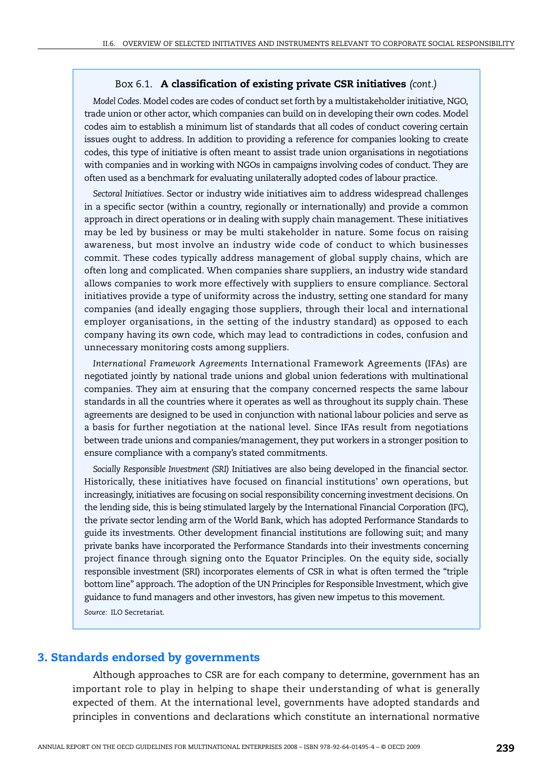### Box 6.1. **A classification of existing private CSR initiatives** *(cont.)*

*Model Codes.* Model codes are codes of conduct set forth by a multistakeholder initiative, NGO, trade union or other actor, which companies can build on in developing their own codes. Model codes aim to establish a minimum list of standards that all codes of conduct covering certain issues ought to address. In addition to providing a reference for companies looking to create codes, this type of initiative is often meant to assist trade union organisations in negotiations with companies and in working with NGOs in campaigns involving codes of conduct. They are often used as a benchmark for evaluating unilaterally adopted codes of labour practice.

*Sectoral Initiatives*. Sector or industry wide initiatives aim to address widespread challenges in a specific sector (within a country, regionally or internationally) and provide a common approach in direct operations or in dealing with supply chain management. These initiatives may be led by business or may be multi stakeholder in nature. Some focus on raising awareness, but most involve an industry wide code of conduct to which businesses commit. These codes typically address management of global supply chains, which are often long and complicated. When companies share suppliers, an industry wide standard allows companies to work more effectively with suppliers to ensure compliance. Sectoral initiatives provide a type of uniformity across the industry, setting one standard for many companies (and ideally engaging those suppliers, through their local and international employer organisations, in the setting of the industry standard) as opposed to each company having its own code, which may lead to contradictions in codes, confusion and unnecessary monitoring costs among suppliers.

*International Framework Agreements* International Framework Agreements (IFAs) are negotiated jointly by national trade unions and global union federations with multinational companies. They aim at ensuring that the company concerned respects the same labour standards in all the countries where it operates as well as throughout its supply chain. These agreements are designed to be used in conjunction with national labour policies and serve as a basis for further negotiation at the national level. Since IFAs result from negotiations between trade unions and companies/management, they put workers in a stronger position to ensure compliance with a company's stated commitments.

*Socially Responsible Investment (SRI)* Initiatives are also being developed in the financial sector. Historically, these initiatives have focused on financial institutions' own operations, but increasingly, initiatives are focusing on social responsibility concerning investment decisions. On the lending side, this is being stimulated largely by the International Financial Corporation (IFC), the private sector lending arm of the World Bank, which has adopted Performance Standards to guide its investments. Other development financial institutions are following suit; and many private banks have incorporated the Performance Standards into their investments concerning project finance through signing onto the Equator Principles. On the equity side, socially responsible investment (SRI) incorporates elements of CSR in what is often termed the "triple bottom line" approach. The adoption of the UN Principles for Responsible Investment, which give guidance to fund managers and other investors, has given new impetus to this movement. *Source:* ILO Secretariat.

### **3. Standards endorsed by governments**

Although approaches to CSR are for each company to determine, government has an important role to play in helping to shape their understanding of what is generally expected of them. At the international level, governments have adopted standards and principles in conventions and declarations which constitute an international normative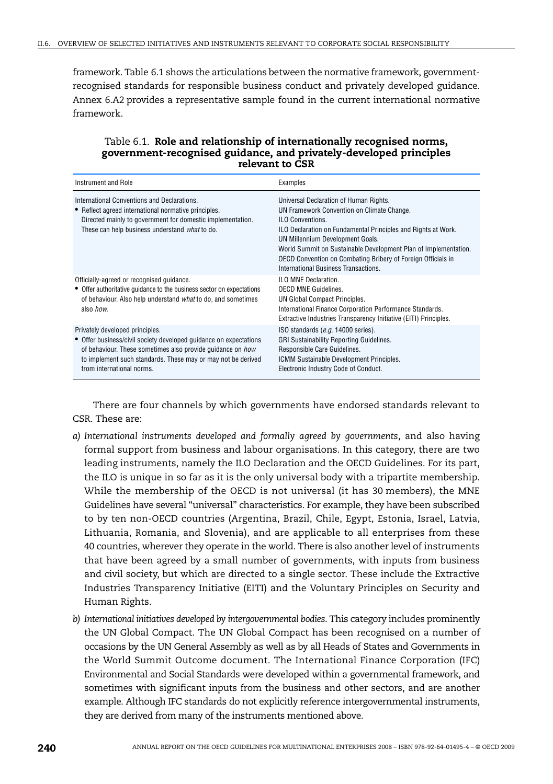framework. Table 6.1 shows the articulations between the normative framework, governmentrecognised standards for responsible business conduct and privately developed guidance. Annex 6.A2 provides a representative sample found in the current international normative framework.

#### Table 6.1. **Role and relationship of internationally recognised norms, government-recognised guidance, and privately-developed principles relevant to CSR**

| Instrument and Role                                                                                                                                                                                                                                             | Examples                                                                                                                                                                                                                                                                                                                                                                                        |
|-----------------------------------------------------------------------------------------------------------------------------------------------------------------------------------------------------------------------------------------------------------------|-------------------------------------------------------------------------------------------------------------------------------------------------------------------------------------------------------------------------------------------------------------------------------------------------------------------------------------------------------------------------------------------------|
| International Conventions and Declarations.<br>• Reflect agreed international normative principles.<br>Directed mainly to government for domestic implementation.<br>These can help business understand what to do.                                             | Universal Declaration of Human Rights.<br>UN Framework Convention on Climate Change.<br><b>ILO Conventions.</b><br>ILO Declaration on Fundamental Principles and Rights at Work.<br>UN Millennium Development Goals.<br>World Summit on Sustainable Development Plan of Implementation.<br>OECD Convention on Combating Bribery of Foreign Officials in<br>International Business Transactions. |
| Officially-agreed or recognised guidance.<br>• Offer authoritative quidance to the business sector on expectations<br>of behaviour. Also help understand <i>what</i> to do, and sometimes<br>also how.                                                          | ILO MNE Declaration.<br><b>OECD MNE Guidelines.</b><br>UN Global Compact Principles.<br>International Finance Corporation Performance Standards.<br>Extractive Industries Transparency Initiative (EITI) Principles.                                                                                                                                                                            |
| Privately developed principles.<br>• Offer business/civil society developed quidance on expectations<br>of behaviour. These sometimes also provide guidance on how<br>to implement such standards. These may or may not be derived<br>from international norms. | ISO standards (e.g. 14000 series).<br><b>GRI Sustainability Reporting Guidelines.</b><br>Responsible Care Guidelines.<br>ICMM Sustainable Development Principles.<br>Electronic Industry Code of Conduct.                                                                                                                                                                                       |

There are four channels by which governments have endorsed standards relevant to CSR. These are:

- *a) International instruments developed and formally agreed by governments*, and also having formal support from business and labour organisations. In this category, there are two leading instruments, namely the ILO Declaration and the OECD Guidelines. For its part, the ILO is unique in so far as it is the only universal body with a tripartite membership. While the membership of the OECD is not universal (it has 30 members), the MNE Guidelines have several "universal" characteristics. For example, they have been subscribed to by ten non-OECD countries (Argentina, Brazil, Chile, Egypt, Estonia, Israel, Latvia, Lithuania, Romania, and Slovenia), and are applicable to all enterprises from these 40 countries, wherever they operate in the world. There is also another level of instruments that have been agreed by a small number of governments, with inputs from business and civil society, but which are directed to a single sector. These include the Extractive Industries Transparency Initiative (EITI) and the Voluntary Principles on Security and Human Rights.
- *b) International initiatives developed by intergovernmental bodies*. This category includes prominently the UN Global Compact. The UN Global Compact has been recognised on a number of occasions by the UN General Assembly as well as by all Heads of States and Governments in the World Summit Outcome document. The International Finance Corporation (IFC) Environmental and Social Standards were developed within a governmental framework, and sometimes with significant inputs from the business and other sectors, and are another example. Although IFC standards do not explicitly reference intergovernmental instruments, they are derived from many of the instruments mentioned above.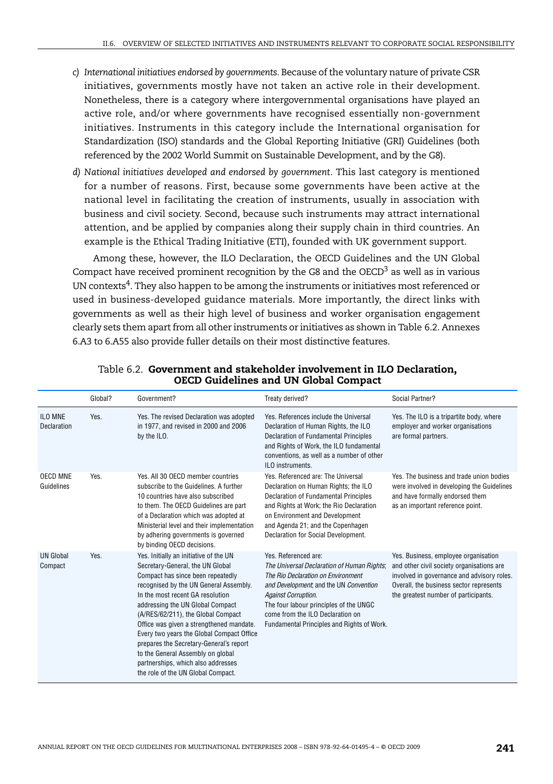- *c) International initiatives endorsed by governments.* Because of the voluntary nature of private CSR initiatives, governments mostly have not taken an active role in their development. Nonetheless, there is a category where intergovernmental organisations have played an active role, and/or where governments have recognised essentially non-government initiatives. Instruments in this category include the International organisation for Standardization (ISO) standards and the Global Reporting Initiative (GRI) Guidelines (both referenced by the 2002 World Summit on Sustainable Development, and by the G8).
- *d) National initiatives developed and endorsed by government.* This last category is mentioned for a number of reasons. First, because some governments have been active at the national level in facilitating the creation of instruments, usually in association with business and civil society. Second, because such instruments may attract international attention, and be applied by companies along their supply chain in third countries. An example is the Ethical Trading Initiative (ETI), founded with UK government support.

Among these, however, the ILO Declaration, the OECD Guidelines and the UN Global Compact have received prominent recognition by the G8 and the  $OECD<sup>3</sup>$  as well as in various UN contexts<sup>4</sup>. They also happen to be among the instruments or initiatives most referenced or used in business-developed guidance materials. More importantly, the direct links with governments as well as their high level of business and worker organisation engagement clearly sets them apart from all other instruments or initiatives as shown in Table 6.2. Annexes 6.A3 to 6.A55 also provide fuller details on their most distinctive features.

|                               | Global? | Government?                                                                                                                                                                                                                                                                                                                                                                                                                                                                                                                  | Treaty derived?                                                                                                                                                                                                                                                                                              | Social Partner?                                                                                                                                                                                                    |
|-------------------------------|---------|------------------------------------------------------------------------------------------------------------------------------------------------------------------------------------------------------------------------------------------------------------------------------------------------------------------------------------------------------------------------------------------------------------------------------------------------------------------------------------------------------------------------------|--------------------------------------------------------------------------------------------------------------------------------------------------------------------------------------------------------------------------------------------------------------------------------------------------------------|--------------------------------------------------------------------------------------------------------------------------------------------------------------------------------------------------------------------|
| <b>ILO MNE</b><br>Declaration | Yes.    | Yes. The revised Declaration was adopted<br>in 1977, and revised in 2000 and 2006<br>by the ILO.                                                                                                                                                                                                                                                                                                                                                                                                                             | Yes. References include the Universal<br>Declaration of Human Rights, the ILO<br><b>Declaration of Fundamental Principles</b><br>and Rights of Work, the ILO fundamental<br>conventions, as well as a number of other<br>ILO instruments.                                                                    | Yes. The ILO is a tripartite body, where<br>employer and worker organisations<br>are formal partners.                                                                                                              |
| <b>OECD MNE</b><br>Guidelines | Yes.    | Yes, All 30 OECD member countries<br>subscribe to the Guidelines. A further<br>10 countries have also subscribed<br>to them. The OECD Guidelines are part<br>of a Declaration which was adopted at<br>Ministerial level and their implementation<br>by adhering governments is governed<br>by binding OECD decisions.                                                                                                                                                                                                        | Yes. Referenced are: The Universal<br>Declaration on Human Rights; the ILO<br>Declaration of Fundamental Principles<br>and Rights at Work; the Rio Declaration<br>on Environment and Development<br>and Agenda 21; and the Copenhagen<br>Declaration for Social Development.                                 | Yes. The business and trade union bodies<br>were involved in developing the Guidelines<br>and have formally endorsed them<br>as an important reference point.                                                      |
| <b>UN Global</b><br>Compact   | Yes.    | Yes. Initially an initiative of the UN<br>Secretary-General, the UN Global<br>Compact has since been repeatedly<br>recognised by the UN General Assembly.<br>In the most recent GA resolution<br>addressing the UN Global Compact<br>(A/RES/62/211), the Global Compact<br>Office was given a strengthened mandate.<br>Every two years the Global Compact Office<br>prepares the Secretary-General's report<br>to the General Assembly on global<br>partnerships, which also addresses<br>the role of the UN Global Compact. | Yes. Referenced are:<br>The Universal Declaration of Human Rights:<br>The Rio Declaration on Environment<br>and Development, and the UN Convention<br><b>Against Corruption.</b><br>The four labour principles of the UNGC<br>come from the ILO Declaration on<br>Fundamental Principles and Rights of Work. | Yes. Business, employee organisation<br>and other civil society organisations are<br>involved in governance and advisory roles.<br>Overall, the business sector represents<br>the greatest number of participants. |

### Table 6.2. **Government and stakeholder involvement in ILO Declaration, OECD Guidelines and UN Global Compact**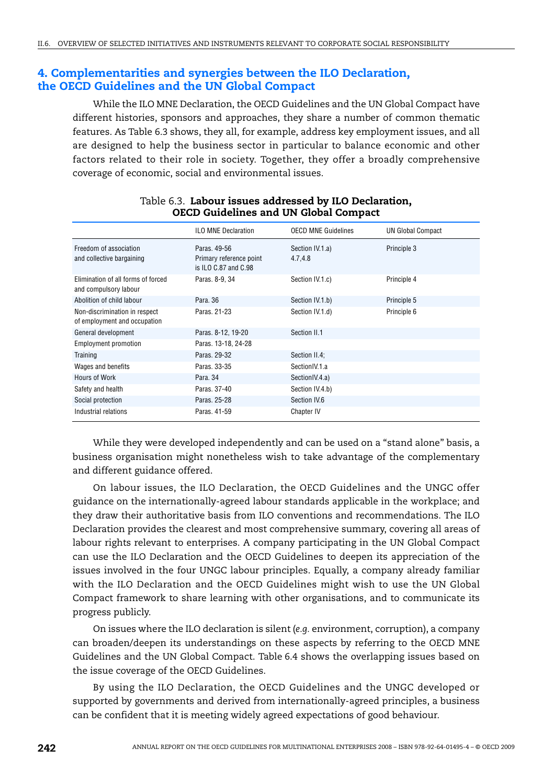### **4. Complementarities and synergies between the ILO Declaration, the OECD Guidelines and the UN Global Compact**

While the ILO MNE Declaration, the OECD Guidelines and the UN Global Compact have different histories, sponsors and approaches, they share a number of common thematic features. As Table 6.3 shows, they all, for example, address key employment issues, and all are designed to help the business sector in particular to balance economic and other factors related to their role in society. Together, they offer a broadly comprehensive coverage of economic, social and environmental issues.

|                                                               | <b>ILO MNE Declaration</b>                                          | <b>OECD MNE Guidelines</b> | <b>UN Global Compact</b> |
|---------------------------------------------------------------|---------------------------------------------------------------------|----------------------------|--------------------------|
| Freedom of association<br>and collective bargaining           | Paras, 49-56<br>Primary reference point<br>is $ILO C.87$ and $C.98$ | Section IV.1.a)<br>4.7,4.8 | Principle 3              |
| Elimination of all forms of forced<br>and compulsory labour   | Paras, 8-9, 34                                                      | Section IV.1.c)            | Principle 4              |
| Abolition of child labour                                     | Para, 36                                                            | Section IV.1.b)            | Principle 5              |
| Non-discrimination in respect<br>of employment and occupation | Paras, 21-23                                                        | Section IV.1.d)            | Principle 6              |
| General development                                           | Paras. 8-12, 19-20                                                  | Section II.1               |                          |
| <b>Employment promotion</b>                                   | Paras. 13-18, 24-28                                                 |                            |                          |
| Training                                                      | Paras, 29-32                                                        | Section II.4:              |                          |
| Wages and benefits                                            | Paras, 33-35                                                        | Section IV.1.a             |                          |
| Hours of Work                                                 | Para, 34                                                            | SectionIV.4.a)             |                          |
| Safety and health                                             | Paras, 37-40                                                        | Section IV.4.b)            |                          |
| Social protection                                             | Paras, 25-28                                                        | Section IV.6               |                          |
| Industrial relations                                          | Paras, 41-59                                                        | Chapter IV                 |                          |

### Table 6.3. **Labour issues addressed by ILO Declaration, OECD Guidelines and UN Global Compact**

While they were developed independently and can be used on a "stand alone" basis, a business organisation might nonetheless wish to take advantage of the complementary and different guidance offered.

On labour issues, the ILO Declaration, the OECD Guidelines and the UNGC offer guidance on the internationally-agreed labour standards applicable in the workplace; and they draw their authoritative basis from ILO conventions and recommendations. The ILO Declaration provides the clearest and most comprehensive summary, covering all areas of labour rights relevant to enterprises. A company participating in the UN Global Compact can use the ILO Declaration and the OECD Guidelines to deepen its appreciation of the issues involved in the four UNGC labour principles. Equally, a company already familiar with the ILO Declaration and the OECD Guidelines might wish to use the UN Global Compact framework to share learning with other organisations, and to communicate its progress publicly.

On issues where the ILO declaration is silent (*e.g.* environment, corruption), a company can broaden/deepen its understandings on these aspects by referring to the OECD MNE Guidelines and the UN Global Compact. Table 6.4 shows the overlapping issues based on the issue coverage of the OECD Guidelines.

By using the ILO Declaration, the OECD Guidelines and the UNGC developed or supported by governments and derived from internationally-agreed principles, a business can be confident that it is meeting widely agreed expectations of good behaviour.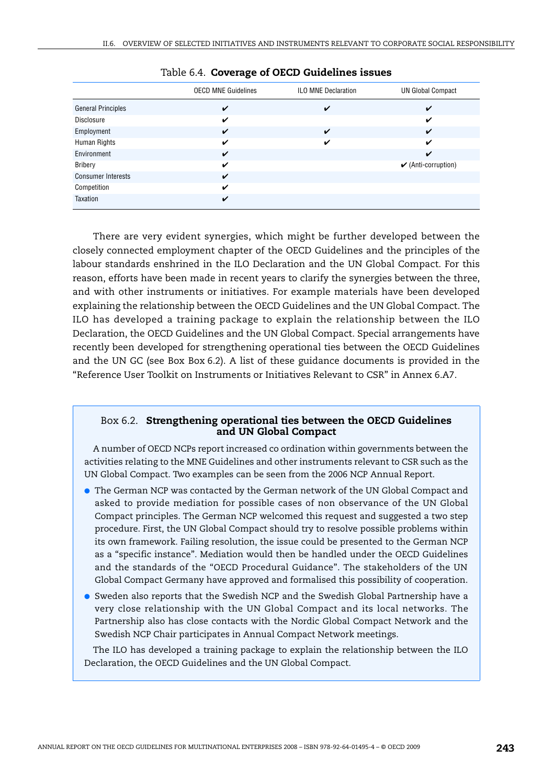|                           | <b>OECD MNE Guidelines</b> | <b>ILO MNE Declaration</b> | <b>UN Global Compact</b>       |
|---------------------------|----------------------------|----------------------------|--------------------------------|
| <b>General Principles</b> | v                          | ✓                          | ✓                              |
| <b>Disclosure</b>         | ✓                          |                            | ✓                              |
| Employment                | v                          | V                          | V                              |
| Human Rights              | $\boldsymbol{\nu}$         | V                          | ✓                              |
| Environment               | v                          |                            | V                              |
| <b>Bribery</b>            | ✓                          |                            | $\checkmark$ (Anti-corruption) |
| <b>Consumer Interests</b> | ✓                          |                            |                                |
| Competition               | ✓                          |                            |                                |
| Taxation                  | ✓                          |                            |                                |

#### Table 6.4. **Coverage of OECD Guidelines issues**

There are very evident synergies, which might be further developed between the closely connected employment chapter of the OECD Guidelines and the principles of the labour standards enshrined in the ILO Declaration and the UN Global Compact. For this reason, efforts have been made in recent years to clarify the synergies between the three, and with other instruments or initiatives. For example materials have been developed explaining the relationship between the OECD Guidelines and the UN Global Compact. The ILO has developed a training package to explain the relationship between the ILO Declaration, the OECD Guidelines and the UN Global Compact. Special arrangements have recently been developed for strengthening operational ties between the OECD Guidelines and the UN GC (see Box Box 6.2). A list of these guidance documents is provided in the "Reference User Toolkit on Instruments or Initiatives Relevant to CSR" in Annex 6.A7.

#### Box 6.2. **Strengthening operational ties between the OECD Guidelines and UN Global Compact**

A number of OECD NCPs report increased co ordination within governments between the activities relating to the MNE Guidelines and other instruments relevant to CSR such as the UN Global Compact. Two examples can be seen from the 2006 NCP Annual Report.

- The German NCP was contacted by the German network of the UN Global Compact and asked to provide mediation for possible cases of non observance of the UN Global Compact principles. The German NCP welcomed this request and suggested a two step procedure. First, the UN Global Compact should try to resolve possible problems within its own framework. Failing resolution, the issue could be presented to the German NCP as a "specific instance". Mediation would then be handled under the OECD Guidelines and the standards of the "OECD Procedural Guidance". The stakeholders of the UN Global Compact Germany have approved and formalised this possibility of cooperation.
- Sweden also reports that the Swedish NCP and the Swedish Global Partnership have a very close relationship with the UN Global Compact and its local networks. The Partnership also has close contacts with the Nordic Global Compact Network and the Swedish NCP Chair participates in Annual Compact Network meetings.

The ILO has developed a training package to explain the relationship between the ILO Declaration, the OECD Guidelines and the UN Global Compact.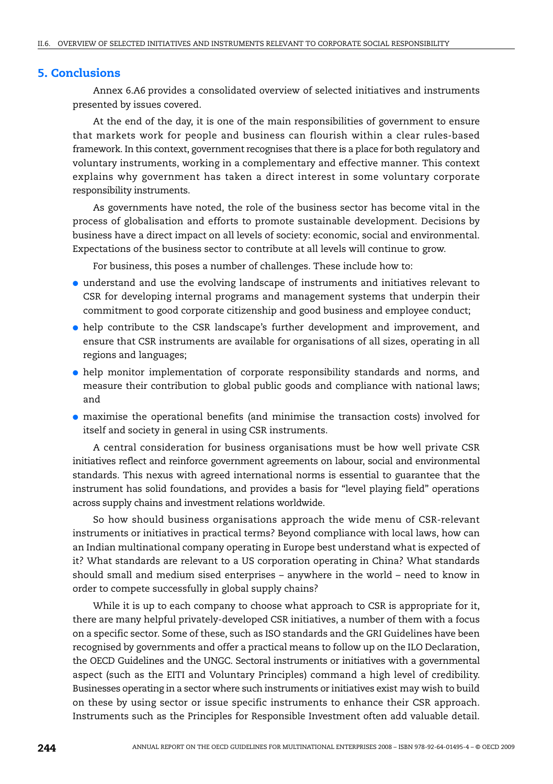#### **5. Conclusions**

Annex 6.A6 provides a consolidated overview of selected initiatives and instruments presented by issues covered.

At the end of the day, it is one of the main responsibilities of government to ensure that markets work for people and business can flourish within a clear rules-based framework. In this context, government recognises that there is a place for both regulatory and voluntary instruments, working in a complementary and effective manner. This context explains why government has taken a direct interest in some voluntary corporate responsibility instruments.

As governments have noted, the role of the business sector has become vital in the process of globalisation and efforts to promote sustainable development. Decisions by business have a direct impact on all levels of society: economic, social and environmental. Expectations of the business sector to contribute at all levels will continue to grow.

For business, this poses a number of challenges. These include how to:

- understand and use the evolving landscape of instruments and initiatives relevant to CSR for developing internal programs and management systems that underpin their commitment to good corporate citizenship and good business and employee conduct;
- help contribute to the CSR landscape's further development and improvement, and ensure that CSR instruments are available for organisations of all sizes, operating in all regions and languages;
- help monitor implementation of corporate responsibility standards and norms, and measure their contribution to global public goods and compliance with national laws; and
- maximise the operational benefits (and minimise the transaction costs) involved for itself and society in general in using CSR instruments.

A central consideration for business organisations must be how well private CSR initiatives reflect and reinforce government agreements on labour, social and environmental standards. This nexus with agreed international norms is essential to guarantee that the instrument has solid foundations, and provides a basis for "level playing field" operations across supply chains and investment relations worldwide.

So how should business organisations approach the wide menu of CSR-relevant instruments or initiatives in practical terms? Beyond compliance with local laws, how can an Indian multinational company operating in Europe best understand what is expected of it? What standards are relevant to a US corporation operating in China? What standards should small and medium sised enterprises – anywhere in the world – need to know in order to compete successfully in global supply chains?

While it is up to each company to choose what approach to CSR is appropriate for it, there are many helpful privately-developed CSR initiatives, a number of them with a focus on a specific sector. Some of these, such as ISO standards and the GRI Guidelines have been recognised by governments and offer a practical means to follow up on the ILO Declaration, the OECD Guidelines and the UNGC. Sectoral instruments or initiatives with a governmental aspect (such as the EITI and Voluntary Principles) command a high level of credibility. Businesses operating in a sector where such instruments or initiatives exist may wish to build on these by using sector or issue specific instruments to enhance their CSR approach. Instruments such as the Principles for Responsible Investment often add valuable detail.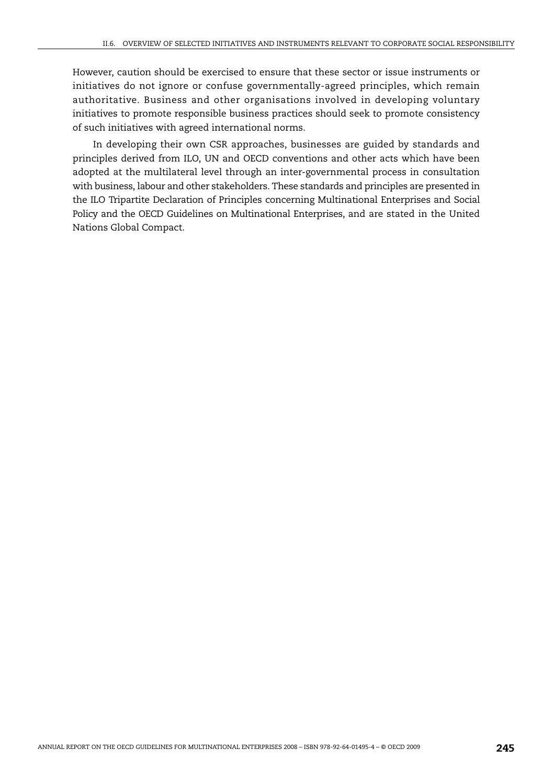However, caution should be exercised to ensure that these sector or issue instruments or initiatives do not ignore or confuse governmentally-agreed principles, which remain authoritative. Business and other organisations involved in developing voluntary initiatives to promote responsible business practices should seek to promote consistency of such initiatives with agreed international norms.

In developing their own CSR approaches, businesses are guided by standards and principles derived from ILO, UN and OECD conventions and other acts which have been adopted at the multilateral level through an inter-governmental process in consultation with business, labour and other stakeholders. These standards and principles are presented in the ILO Tripartite Declaration of Principles concerning Multinational Enterprises and Social Policy and the OECD Guidelines on Multinational Enterprises, and are stated in the United Nations Global Compact.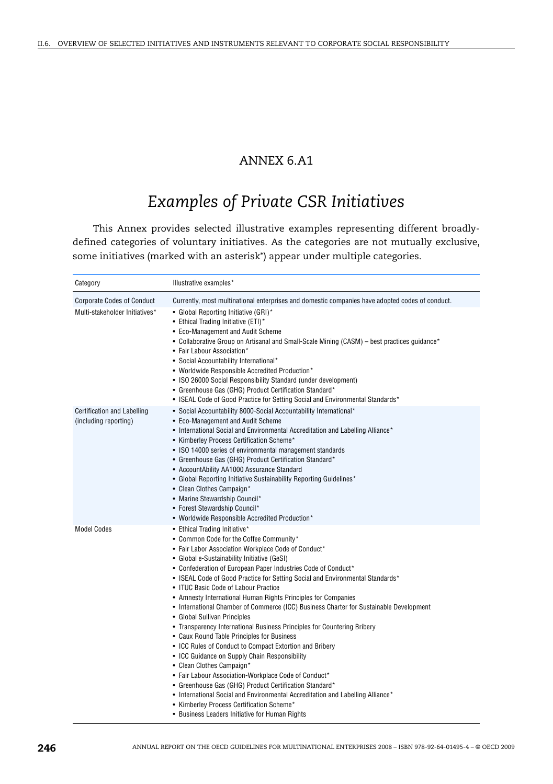# *Examples of Private CSR Initiatives*

This Annex provides selected illustrative examples representing different broadlydefined categories of voluntary initiatives. As the categories are not mutually exclusive, some initiatives (marked with an asterisk\*) appear under multiple categories.

| Category                                                            | Illustrative examples*                                                                                                                                                                                                                                                                                                                                                                                                                                                                                                                                                                                                                                                                                                                                                                                                                                                                                                                                                                                                                                                                 |
|---------------------------------------------------------------------|----------------------------------------------------------------------------------------------------------------------------------------------------------------------------------------------------------------------------------------------------------------------------------------------------------------------------------------------------------------------------------------------------------------------------------------------------------------------------------------------------------------------------------------------------------------------------------------------------------------------------------------------------------------------------------------------------------------------------------------------------------------------------------------------------------------------------------------------------------------------------------------------------------------------------------------------------------------------------------------------------------------------------------------------------------------------------------------|
| <b>Corporate Codes of Conduct</b><br>Multi-stakeholder Initiatives* | Currently, most multinational enterprises and domestic companies have adopted codes of conduct.<br>• Global Reporting Initiative (GRI)*<br>• Ethical Trading Initiative (ETI)*<br>• Eco-Management and Audit Scheme<br>• Collaborative Group on Artisanal and Small-Scale Mining (CASM) – best practices guidance*<br>• Fair Labour Association*<br>• Social Accountability International*<br>• Worldwide Responsible Accredited Production*<br>• ISO 26000 Social Responsibility Standard (under development)<br>• Greenhouse Gas (GHG) Product Certification Standard*<br>• ISEAL Code of Good Practice for Setting Social and Environmental Standards*                                                                                                                                                                                                                                                                                                                                                                                                                              |
| <b>Certification and Labelling</b><br>(including reporting)         | • Social Accountability 8000-Social Accountability International*<br>• Eco-Management and Audit Scheme<br>• International Social and Environmental Accreditation and Labelling Alliance*<br>• Kimberley Process Certification Scheme*<br>• ISO 14000 series of environmental management standards<br>• Greenhouse Gas (GHG) Product Certification Standard*<br>• AccountAbility AA1000 Assurance Standard<br>• Global Reporting Initiative Sustainability Reporting Guidelines*<br>• Clean Clothes Campaign*<br>• Marine Stewardship Council*<br>• Forest Stewardship Council*<br>• Worldwide Responsible Accredited Production*                                                                                                                                                                                                                                                                                                                                                                                                                                                       |
| <b>Model Codes</b>                                                  | • Ethical Trading Initiative*<br>• Common Code for the Coffee Community*<br>• Fair Labor Association Workplace Code of Conduct*<br>• Global e-Sustainability Initiative (GeSI)<br>• Confederation of European Paper Industries Code of Conduct*<br>• ISEAL Code of Good Practice for Setting Social and Environmental Standards*<br>• ITUC Basic Code of Labour Practice<br>• Amnesty International Human Rights Principles for Companies<br>• International Chamber of Commerce (ICC) Business Charter for Sustainable Development<br>• Global Sullivan Principles<br>• Transparency International Business Principles for Countering Bribery<br>• Caux Round Table Principles for Business<br>• ICC Rules of Conduct to Compact Extortion and Bribery<br>• ICC Guidance on Supply Chain Responsibility<br>• Clean Clothes Campaign*<br>• Fair Labour Association-Workplace Code of Conduct*<br>• Greenhouse Gas (GHG) Product Certification Standard*<br>• International Social and Environmental Accreditation and Labelling Alliance*<br>• Kimberley Process Certification Scheme* |

• Business Leaders Initiative for Human Rights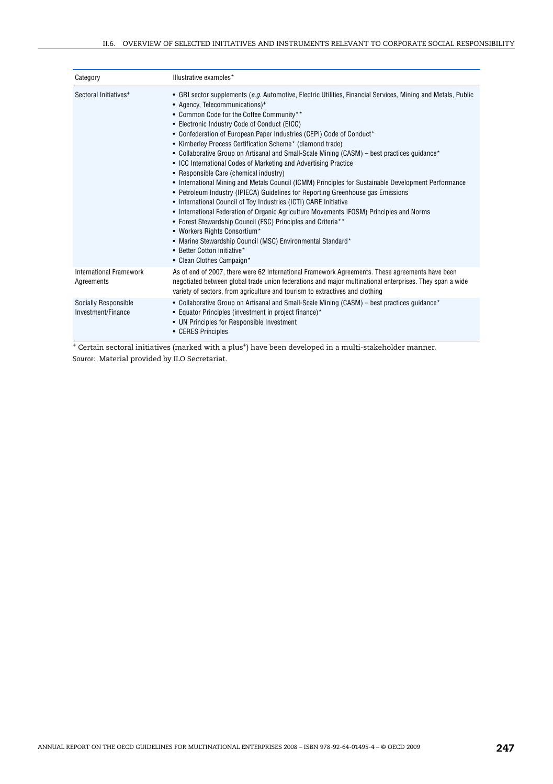| Category                                     | Illustrative examples*                                                                                                                                                                                                                                                                                                                                                                                                                                                                                                                                                                                                                                                                                                                                                                                                                                                                                                                                                                                                                                                                                                                                                                     |
|----------------------------------------------|--------------------------------------------------------------------------------------------------------------------------------------------------------------------------------------------------------------------------------------------------------------------------------------------------------------------------------------------------------------------------------------------------------------------------------------------------------------------------------------------------------------------------------------------------------------------------------------------------------------------------------------------------------------------------------------------------------------------------------------------------------------------------------------------------------------------------------------------------------------------------------------------------------------------------------------------------------------------------------------------------------------------------------------------------------------------------------------------------------------------------------------------------------------------------------------------|
| Sectoral Initiatives <sup>+</sup>            | • GRI sector supplements (e.g. Automotive, Electric Utilities, Financial Services, Mining and Metals, Public<br>• Agency, Telecommunications) <sup>+</sup><br>• Common Code for the Coffee Community**<br>• Electronic Industry Code of Conduct (EICC)<br>• Confederation of European Paper Industries (CEPI) Code of Conduct*<br>• Kimberley Process Certification Scheme* (diamond trade)<br>• Collaborative Group on Artisanal and Small-Scale Mining (CASM) – best practices quidance*<br>• ICC International Codes of Marketing and Advertising Practice<br>• Responsible Care (chemical industry)<br>• International Mining and Metals Council (ICMM) Principles for Sustainable Development Performance<br>• Petroleum Industry (IPIECA) Guidelines for Reporting Greenhouse gas Emissions<br>• International Council of Toy Industries (ICTI) CARE Initiative<br>• International Federation of Organic Agriculture Movements IFOSM) Principles and Norms<br>• Forest Stewardship Council (FSC) Principles and Criteria**<br>• Workers Rights Consortium*<br>• Marine Stewardship Council (MSC) Environmental Standard*<br>• Better Cotton Initiative*<br>• Clean Clothes Campaign* |
| <b>International Framework</b><br>Agreements | As of end of 2007, there were 62 International Framework Agreements. These agreements have been<br>negotiated between global trade union federations and major multinational enterprises. They span a wide<br>variety of sectors, from agriculture and tourism to extractives and clothing                                                                                                                                                                                                                                                                                                                                                                                                                                                                                                                                                                                                                                                                                                                                                                                                                                                                                                 |
| Socially Responsible<br>Investment/Finance   | • Collaborative Group on Artisanal and Small-Scale Mining (CASM) - best practices guidance*<br>• Equator Principles (investment in project finance)*<br>• UN Principles for Responsible Investment<br>• CERES Principles                                                                                                                                                                                                                                                                                                                                                                                                                                                                                                                                                                                                                                                                                                                                                                                                                                                                                                                                                                   |

 $+$  Certain sectoral initiatives (marked with a plus<sup>+</sup>) have been developed in a multi-stakeholder manner. *Source:* Material provided by ILO Secretariat.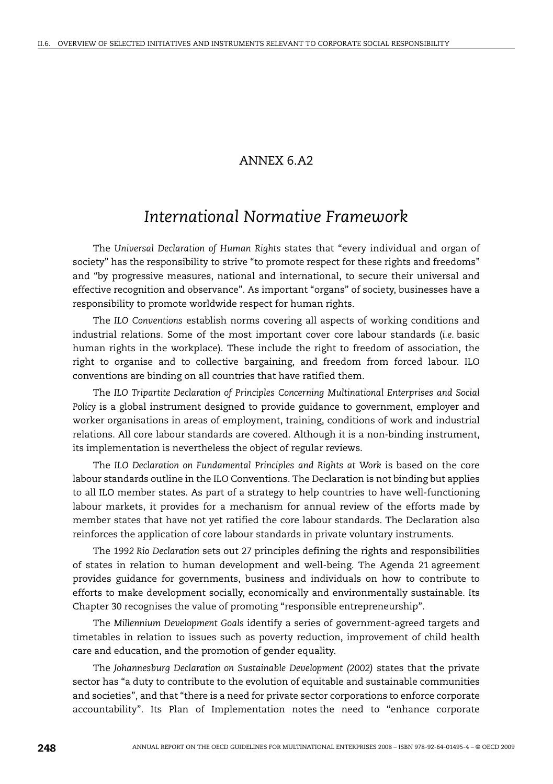# *International Normative Framework*

The *Universal Declaration of Human Rights* states that "every individual and organ of society" has the responsibility to strive "to promote respect for these rights and freedoms" and "by progressive measures, national and international, to secure their universal and effective recognition and observance". As important "organs" of society, businesses have a responsibility to promote worldwide respect for human rights.

The *ILO Conventions* establish norms covering all aspects of working conditions and industrial relations. Some of the most important cover core labour standards (*i.e.* basic human rights in the workplace). These include the right to freedom of association, the right to organise and to collective bargaining, and freedom from forced labour. ILO conventions are binding on all countries that have ratified them.

The *ILO Tripartite Declaration of Principles Concerning Multinational Enterprises and Social Policy* is a global instrument designed to provide guidance to government, employer and worker organisations in areas of employment, training, conditions of work and industrial relations. All core labour standards are covered. Although it is a non-binding instrument, its implementation is nevertheless the object of regular reviews.

The *ILO Declaration on Fundamental Principles and Rights at Work* is based on the core labour standards outline in the ILO Conventions. The Declaration is not binding but applies to all ILO member states. As part of a strategy to help countries to have well-functioning labour markets, it provides for a mechanism for annual review of the efforts made by member states that have not yet ratified the core labour standards. The Declaration also reinforces the application of core labour standards in private voluntary instruments.

The *1992 Rio Declaration* sets out 27 principles defining the rights and responsibilities of states in relation to human development and well-being. The Agenda 21 agreement provides guidance for governments, business and individuals on how to contribute to efforts to make development socially, economically and environmentally sustainable. Its Chapter 30 recognises the value of promoting "responsible entrepreneurship".

The *Millennium Development Goals* identify a series of government-agreed targets and timetables in relation to issues such as poverty reduction, improvement of child health care and education, and the promotion of gender equality.

The *Johannesburg Declaration on Sustainable Development (2002)* states that the private sector has "a duty to contribute to the evolution of equitable and sustainable communities and societies", and that "there is a need for private sector corporations to enforce corporate accountability". Its Plan of Implementation notes the need to "enhance corporate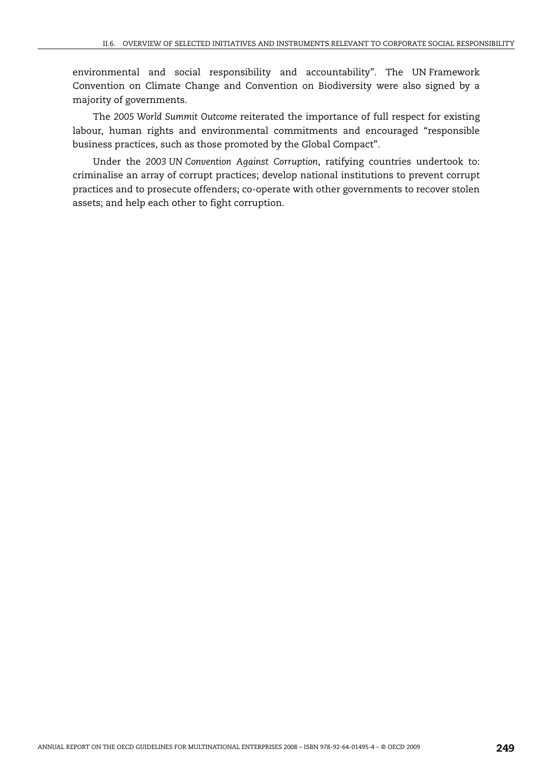environmental and social responsibility and accountability". The UN Framework Convention on Climate Change and Convention on Biodiversity were also signed by a majority of governments.

The *2005 World Summit Outcome* reiterated the importance of full respect for existing labour, human rights and environmental commitments and encouraged "responsible business practices, such as those promoted by the Global Compact".

Under the *2003 UN Convention Against Corruption*, ratifying countries undertook to: criminalise an array of corrupt practices; develop national institutions to prevent corrupt practices and to prosecute offenders; co-operate with other governments to recover stolen assets; and help each other to fight corruption.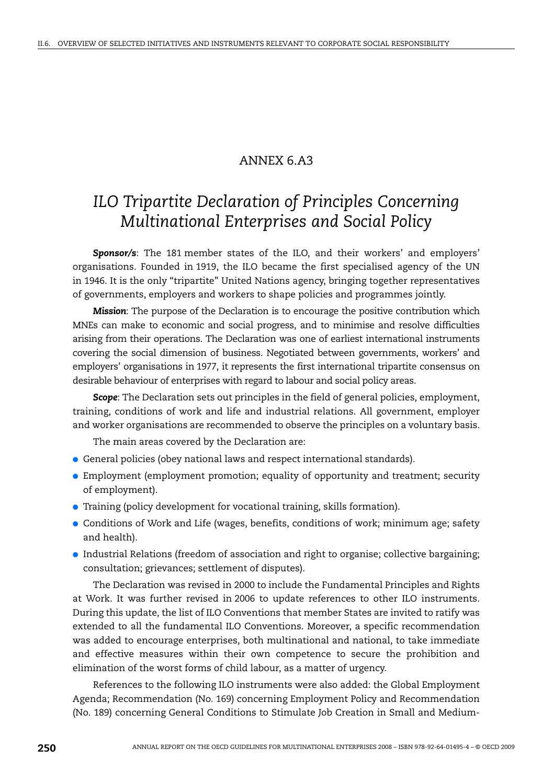# *ILO Tripartite Declaration of Principles Concerning Multinational Enterprises and Social Policy*

*Sponsor/s*: The 181 member states of the ILO, and their workers' and employers' organisations. Founded in 1919, the ILO became the first specialised agency of the UN in 1946. It is the only "tripartite" United Nations agency, bringing together representatives of governments, employers and workers to shape policies and programmes jointly.

*Mission*: The purpose of the Declaration is to encourage the positive contribution which MNEs can make to economic and social progress, and to minimise and resolve difficulties arising from their operations. The Declaration was one of earliest international instruments covering the social dimension of business. Negotiated between governments, workers' and employers' organisations in 1977, it represents the first international tripartite consensus on desirable behaviour of enterprises with regard to labour and social policy areas.

*Scope*: The Declaration sets out principles in the field of general policies, employment, training, conditions of work and life and industrial relations. All government, employer and worker organisations are recommended to observe the principles on a voluntary basis.

The main areas covered by the Declaration are:

- General policies (obey national laws and respect international standards).
- Employment (employment promotion; equality of opportunity and treatment; security of employment).
- Training (policy development for vocational training, skills formation).
- Conditions of Work and Life (wages, benefits, conditions of work; minimum age; safety and health).
- Industrial Relations (freedom of association and right to organise; collective bargaining; consultation; grievances; settlement of disputes).

The Declaration was revised in 2000 to include the Fundamental Principles and Rights at Work. It was further revised in 2006 to update references to other ILO instruments. During this update, the list of ILO Conventions that member States are invited to ratify was extended to all the fundamental ILO Conventions. Moreover, a specific recommendation was added to encourage enterprises, both multinational and national, to take immediate and effective measures within their own competence to secure the prohibition and elimination of the worst forms of child labour, as a matter of urgency.

References to the following ILO instruments were also added: the Global Employment Agenda; Recommendation (No. 169) concerning Employment Policy and Recommendation (No. 189) concerning General Conditions to Stimulate Job Creation in Small and Medium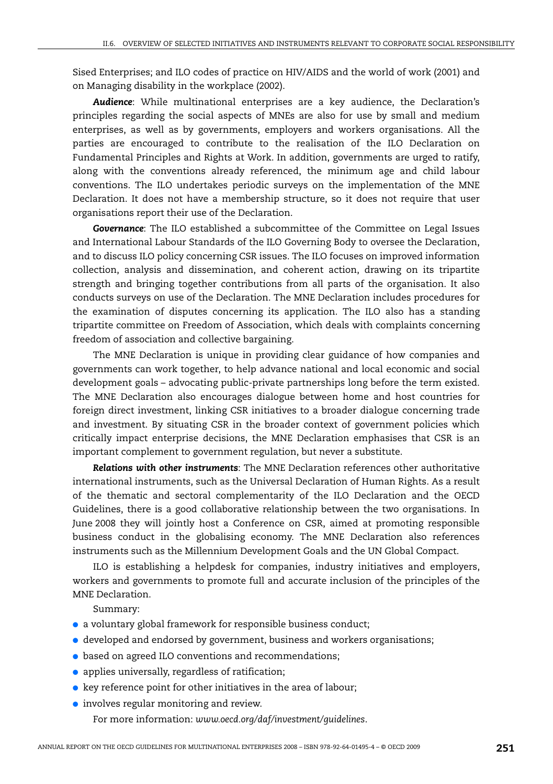Sised Enterprises; and ILO codes of practice on HIV/AIDS and the world of work (2001) and on Managing disability in the workplace (2002).

*Audience*: While multinational enterprises are a key audience, the Declaration's principles regarding the social aspects of MNEs are also for use by small and medium enterprises, as well as by governments, employers and workers organisations. All the parties are encouraged to contribute to the realisation of the ILO Declaration on Fundamental Principles and Rights at Work. In addition, governments are urged to ratify, along with the conventions already referenced, the minimum age and child labour conventions. The ILO undertakes periodic surveys on the implementation of the MNE Declaration. It does not have a membership structure, so it does not require that user organisations report their use of the Declaration.

*Governance*: The ILO established a subcommittee of the Committee on Legal Issues and International Labour Standards of the ILO Governing Body to oversee the Declaration, and to discuss ILO policy concerning CSR issues. The ILO focuses on improved information collection, analysis and dissemination, and coherent action, drawing on its tripartite strength and bringing together contributions from all parts of the organisation. It also conducts surveys on use of the Declaration. The MNE Declaration includes procedures for the examination of disputes concerning its application. The ILO also has a standing tripartite committee on Freedom of Association, which deals with complaints concerning freedom of association and collective bargaining.

The MNE Declaration is unique in providing clear guidance of how companies and governments can work together, to help advance national and local economic and social development goals – advocating public-private partnerships long before the term existed. The MNE Declaration also encourages dialogue between home and host countries for foreign direct investment, linking CSR initiatives to a broader dialogue concerning trade and investment. By situating CSR in the broader context of government policies which critically impact enterprise decisions, the MNE Declaration emphasises that CSR is an important complement to government regulation, but never a substitute.

*Relations with other instruments*: The MNE Declaration references other authoritative international instruments, such as the Universal Declaration of Human Rights. As a result of the thematic and sectoral complementarity of the ILO Declaration and the OECD Guidelines, there is a good collaborative relationship between the two organisations. In June 2008 they will jointly host a Conference on CSR, aimed at promoting responsible business conduct in the globalising economy. The MNE Declaration also references instruments such as the Millennium Development Goals and the UN Global Compact.

ILO is establishing a helpdesk for companies, industry initiatives and employers, workers and governments to promote full and accurate inclusion of the principles of the MNE Declaration.

Summary:

- a voluntary global framework for responsible business conduct;
- developed and endorsed by government, business and workers organisations;
- based on agreed ILO conventions and recommendations;
- applies universally, regardless of ratification;
- key reference point for other initiatives in the area of labour;
- involves regular monitoring and review.

For more information: *[www.oecd.org/daf/investment/guidelines](http://www.oecd.org/daf/investment/guidelines)*.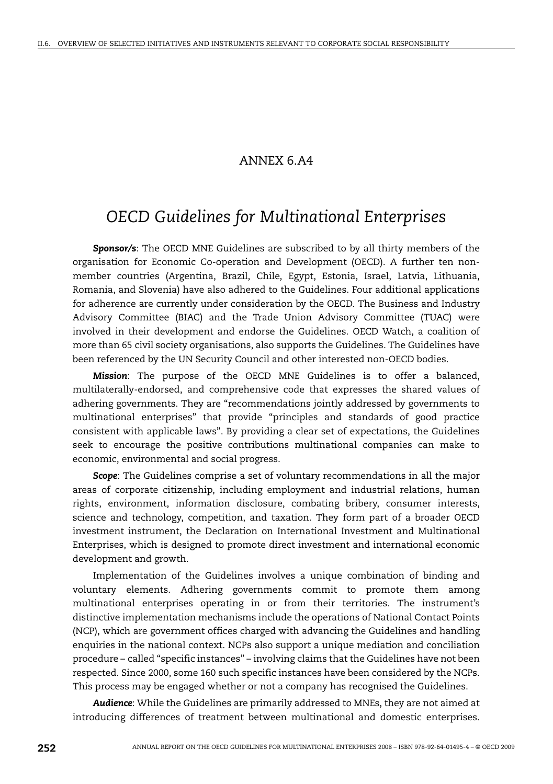# *OECD Guidelines for Multinational Enterprises*

*Sponsor/s*: The OECD MNE Guidelines are subscribed to by all thirty members of the organisation for Economic Co-operation and Development (OECD). A further ten nonmember countries (Argentina, Brazil, Chile, Egypt, Estonia, Israel, Latvia, Lithuania, Romania, and Slovenia) have also adhered to the Guidelines. Four additional applications for adherence are currently under consideration by the OECD. The Business and Industry Advisory Committee (BIAC) and the Trade Union Advisory Committee (TUAC) were involved in their development and endorse the Guidelines. OECD Watch, a coalition of more than 65 civil society organisations, also supports the Guidelines. The Guidelines have been referenced by the UN Security Council and other interested non-OECD bodies.

*Mission*: The purpose of the OECD MNE Guidelines is to offer a balanced, multilaterally-endorsed, and comprehensive code that expresses the shared values of adhering governments. They are "recommendations jointly addressed by governments to multinational enterprises" that provide "principles and standards of good practice consistent with applicable laws". By providing a clear set of expectations, the Guidelines seek to encourage the positive contributions multinational companies can make to economic, environmental and social progress.

*Scope*: The Guidelines comprise a set of voluntary recommendations in all the major areas of corporate citizenship, including employment and industrial relations, human rights, environment, information disclosure, combating bribery, consumer interests, science and technology, competition, and taxation. They form part of a broader OECD investment instrument, the Declaration on International Investment and Multinational Enterprises, which is designed to promote direct investment and international economic development and growth.

Implementation of the Guidelines involves a unique combination of binding and voluntary elements. Adhering governments commit to promote them among multinational enterprises operating in or from their territories. The instrument's distinctive implementation mechanisms include the operations of National Contact Points (NCP), which are government offices charged with advancing the Guidelines and handling enquiries in the national context. NCPs also support a unique mediation and conciliation procedure – called "specific instances" – involving claims that the Guidelines have not been respected. Since 2000, some 160 such specific instances have been considered by the NCPs. This process may be engaged whether or not a company has recognised the Guidelines.

*Audience*: While the Guidelines are primarily addressed to MNEs, they are not aimed at introducing differences of treatment between multinational and domestic enterprises.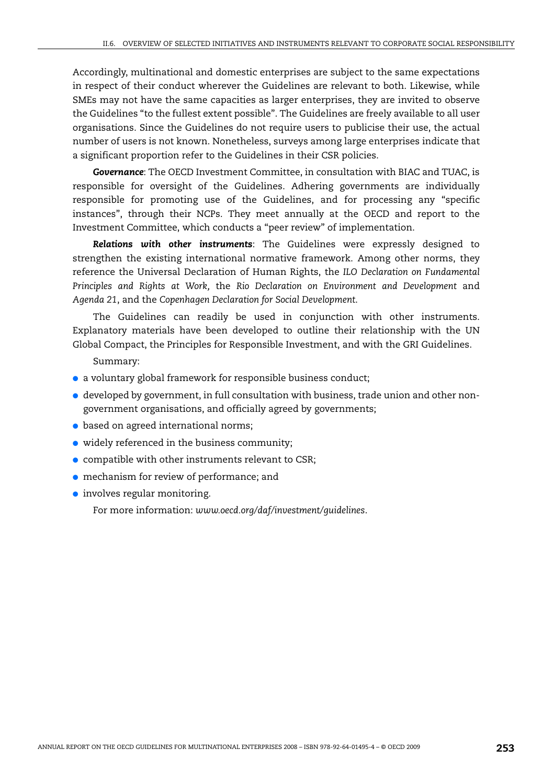Accordingly, multinational and domestic enterprises are subject to the same expectations in respect of their conduct wherever the Guidelines are relevant to both. Likewise, while SMEs may not have the same capacities as larger enterprises, they are invited to observe the Guidelines "to the fullest extent possible". The Guidelines are freely available to all user organisations. Since the Guidelines do not require users to publicise their use, the actual number of users is not known. Nonetheless, surveys among large enterprises indicate that a significant proportion refer to the Guidelines in their CSR policies.

*Governance*: The OECD Investment Committee, in consultation with BIAC and TUAC, is responsible for oversight of the Guidelines. Adhering governments are individually responsible for promoting use of the Guidelines, and for processing any "specific instances", through their NCPs. They meet annually at the OECD and report to the Investment Committee, which conducts a "peer review" of implementation.

*Relations with other instruments*: The Guidelines were expressly designed to strengthen the existing international normative framework. Among other norms, they reference the Universal Declaration of Human Rights, the *ILO Declaration on Fundamental Principles and Rights at Work,* the *Rio Declaration on Environment and Development* and *Agenda 21*, and the *Copenhagen Declaration for Social Development*.

The Guidelines can readily be used in conjunction with other instruments. Explanatory materials have been developed to outline their relationship with the UN Global Compact, the Principles for Responsible Investment, and with the GRI Guidelines.

Summary:

- a voluntary global framework for responsible business conduct;
- developed by government, in full consultation with business, trade union and other nongovernment organisations, and officially agreed by governments;
- based on agreed international norms;
- widely referenced in the business community;
- compatible with other instruments relevant to CSR;
- mechanism for review of performance; and
- involves regular monitoring.

For more information: *[www.oecd.org/daf/investment/guidelines](http://www.oecd.org/daf/investment/guidelines)*.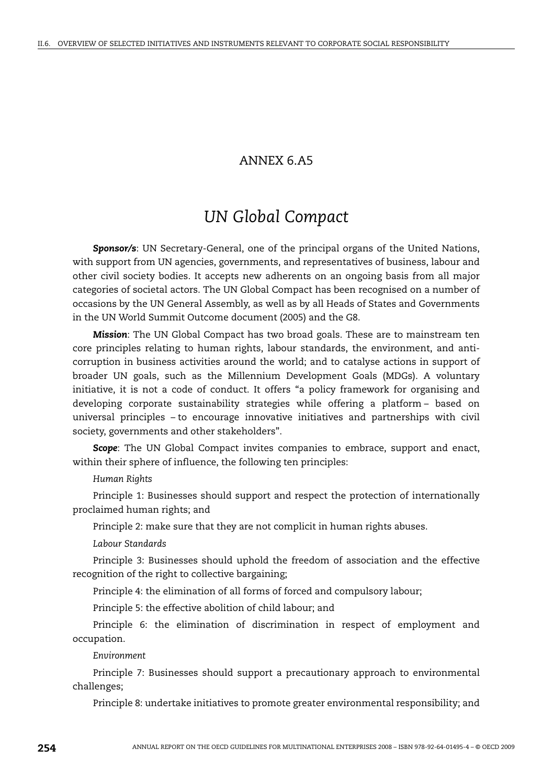# *UN Global Compact*

*Sponsor/s*: UN Secretary-General, one of the principal organs of the United Nations, with support from UN agencies, governments, and representatives of business, labour and other civil society bodies. It accepts new adherents on an ongoing basis from all major categories of societal actors. The UN Global Compact has been recognised on a number of occasions by the UN General Assembly, as well as by all Heads of States and Governments in the UN World Summit Outcome document (2005) and the G8.

*Mission*: The UN Global Compact has two broad goals. These are to mainstream ten core principles relating to human rights, labour standards, the environment, and anticorruption in business activities around the world; and to catalyse actions in support of broader UN goals, such as the Millennium Development Goals (MDGs). A voluntary initiative, it is not a code of conduct. It offers "a policy framework for organising and developing corporate sustainability strategies while offering a platform – based on universal principles – to encourage innovative initiatives and partnerships with civil society, governments and other stakeholders".

*Scope*: The UN Global Compact invites companies to embrace, support and enact, within their sphere of influence, the following ten principles:

*Human Rights*

Principle 1: Businesses should support and respect the protection of internationally proclaimed human rights; and

Principle 2: make sure that they are not complicit in human rights abuses.

*Labour Standards*

Principle 3: Businesses should uphold the freedom of association and the effective recognition of the right to collective bargaining;

Principle 4: the elimination of all forms of forced and compulsory labour;

Principle 5: the effective abolition of child labour; and

Principle 6: the elimination of discrimination in respect of employment and occupation.

*Environment*

Principle 7: Businesses should support a precautionary approach to environmental challenges;

Principle 8: undertake initiatives to promote greater environmental responsibility; and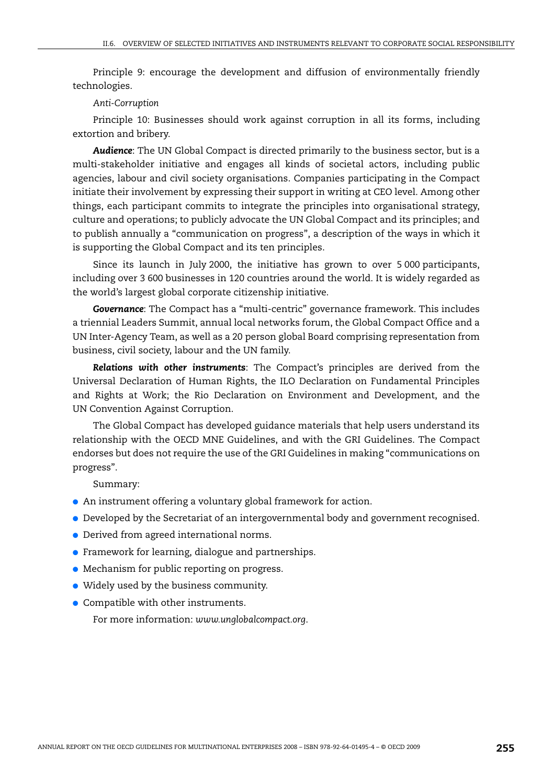Principle 9: encourage the development and diffusion of environmentally friendly technologies.

#### *Anti-Corruption*

Principle 10: Businesses should work against corruption in all its forms, including extortion and bribery.

*Audience*: The UN Global Compact is directed primarily to the business sector, but is a multi-stakeholder initiative and engages all kinds of societal actors, including public agencies, labour and civil society organisations. Companies participating in the Compact initiate their involvement by expressing their support in writing at CEO level. Among other things, each participant commits to integrate the principles into organisational strategy, culture and operations; to publicly advocate the UN Global Compact and its principles; and to publish annually a "communication on progress", a description of the ways in which it is supporting the Global Compact and its ten principles.

Since its launch in July 2000, the initiative has grown to over 5 000 participants, including over 3 600 businesses in 120 countries around the world. It is widely regarded as the world's largest global corporate citizenship initiative.

*Governance*: The Compact has a "multi-centric" governance framework. This includes a triennial Leaders Summit, annual local networks forum, the Global Compact Office and a UN Inter-Agency Team, as well as a 20 person global Board comprising representation from business, civil society, labour and the UN family.

*Relations with other instruments*: The Compact's principles are derived from the Universal Declaration of Human Rights, the ILO Declaration on Fundamental Principles and Rights at Work; the Rio Declaration on Environment and Development, and the UN Convention Against Corruption.

The Global Compact has developed guidance materials that help users understand its relationship with the OECD MNE Guidelines, and with the GRI Guidelines. The Compact endorses but does not require the use of the GRI Guidelines in making "communications on progress".

Summary:

- An instrument offering a voluntary global framework for action.
- Developed by the Secretariat of an intergovernmental body and government recognised.
- Derived from agreed international norms.
- Framework for learning, dialogue and partnerships.
- Mechanism for public reporting on progress.
- Widely used by the business community.
- Compatible with other instruments.

For more information: *[www.unglobalcompact.org](http://www.unglobalcompact.org)*.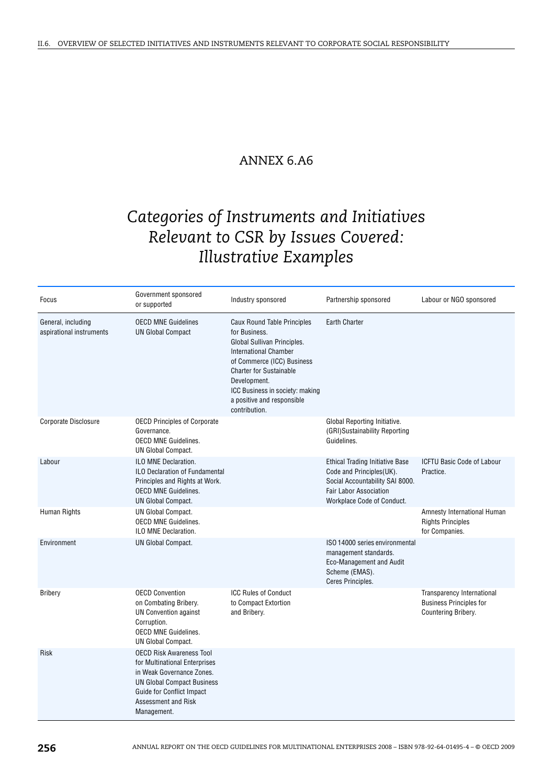# *Categories of Instruments and Initiatives Relevant to CSR by Issues Covered: Illustrative Examples*

| Focus                                          | Government sponsored<br>or supported                                                                                                                                                                                | Industry sponsored                                                                                                                                                                                                                                                                   | Partnership sponsored                                                                                                                                                | Labour or NGO sponsored                                                             |
|------------------------------------------------|---------------------------------------------------------------------------------------------------------------------------------------------------------------------------------------------------------------------|--------------------------------------------------------------------------------------------------------------------------------------------------------------------------------------------------------------------------------------------------------------------------------------|----------------------------------------------------------------------------------------------------------------------------------------------------------------------|-------------------------------------------------------------------------------------|
| General, including<br>aspirational instruments | <b>OECD MNE Guidelines</b><br><b>UN Global Compact</b>                                                                                                                                                              | <b>Caux Round Table Principles</b><br>for Business.<br>Global Sullivan Principles.<br><b>International Chamber</b><br>of Commerce (ICC) Business<br><b>Charter for Sustainable</b><br>Development.<br>ICC Business in society: making<br>a positive and responsible<br>contribution. | <b>Earth Charter</b>                                                                                                                                                 |                                                                                     |
| <b>Corporate Disclosure</b>                    | <b>OECD Principles of Corporate</b><br>Governance.<br><b>OECD MNE Guidelines.</b><br>UN Global Compact.                                                                                                             |                                                                                                                                                                                                                                                                                      | Global Reporting Initiative.<br>(GRI)Sustainability Reporting<br>Guidelines.                                                                                         |                                                                                     |
| Labour                                         | ILO MNE Declaration.<br><b>ILO Declaration of Fundamental</b><br>Principles and Rights at Work.<br><b>OECD MNE Guidelines.</b><br>UN Global Compact.                                                                |                                                                                                                                                                                                                                                                                      | <b>Ethical Trading Initiative Base</b><br>Code and Principles(UK).<br>Social Accountability SAI 8000.<br><b>Fair Labor Association</b><br>Workplace Code of Conduct. | <b>ICFTU Basic Code of Labour</b><br>Practice.                                      |
| <b>Human Rights</b>                            | UN Global Compact.<br><b>OECD MNE Guidelines.</b><br>ILO MNE Declaration.                                                                                                                                           |                                                                                                                                                                                                                                                                                      |                                                                                                                                                                      | Amnesty International Human<br><b>Rights Principles</b><br>for Companies.           |
| Environment                                    | UN Global Compact.                                                                                                                                                                                                  |                                                                                                                                                                                                                                                                                      | ISO 14000 series environmental<br>management standards.<br>Eco-Management and Audit<br>Scheme (EMAS).<br>Ceres Principles.                                           |                                                                                     |
| Bribery                                        | <b>OECD Convention</b><br>on Combating Bribery.<br><b>UN Convention against</b><br>Corruption.<br><b>OECD MNE Guidelines.</b><br>UN Global Compact.                                                                 | <b>ICC Rules of Conduct</b><br>to Compact Extortion<br>and Bribery.                                                                                                                                                                                                                  |                                                                                                                                                                      | Transparency International<br><b>Business Principles for</b><br>Countering Bribery. |
| <b>Risk</b>                                    | <b>OECD Risk Awareness Tool</b><br>for Multinational Enterprises<br>in Weak Governance Zones.<br><b>UN Global Compact Business</b><br><b>Guide for Conflict Impact</b><br><b>Assessment and Risk</b><br>Management. |                                                                                                                                                                                                                                                                                      |                                                                                                                                                                      |                                                                                     |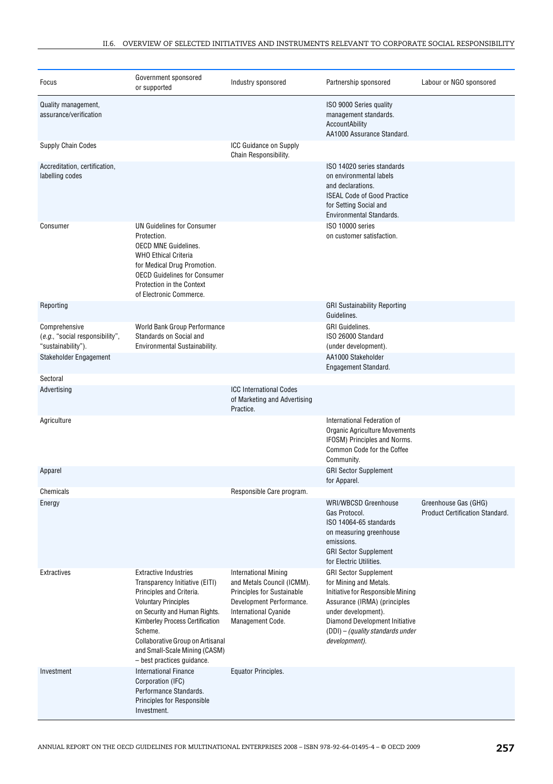| Focus                                                                  | Government sponsored<br>or supported                                                                                                                                                                                                                                                                        | Industry sponsored                                                                                                                                                      | Partnership sponsored                                                                                                                                                                                                                     | Labour or NGO sponsored                                        |
|------------------------------------------------------------------------|-------------------------------------------------------------------------------------------------------------------------------------------------------------------------------------------------------------------------------------------------------------------------------------------------------------|-------------------------------------------------------------------------------------------------------------------------------------------------------------------------|-------------------------------------------------------------------------------------------------------------------------------------------------------------------------------------------------------------------------------------------|----------------------------------------------------------------|
| Quality management,<br>assurance/verification                          |                                                                                                                                                                                                                                                                                                             |                                                                                                                                                                         | ISO 9000 Series quality<br>management standards.<br>AccountAbility<br>AA1000 Assurance Standard.                                                                                                                                          |                                                                |
| <b>Supply Chain Codes</b>                                              |                                                                                                                                                                                                                                                                                                             | <b>ICC Guidance on Supply</b><br>Chain Responsibility.                                                                                                                  |                                                                                                                                                                                                                                           |                                                                |
| Accreditation, certification,<br>labelling codes                       |                                                                                                                                                                                                                                                                                                             |                                                                                                                                                                         | ISO 14020 series standards<br>on environmental labels<br>and declarations.<br><b>ISEAL Code of Good Practice</b><br>for Setting Social and<br>Environmental Standards.                                                                    |                                                                |
| Consumer                                                               | <b>UN Guidelines for Consumer</b><br>Protection.<br><b>OECD MNE Guidelines.</b><br><b>WHO Ethical Criteria</b><br>for Medical Drug Promotion.<br><b>OECD Guidelines for Consumer</b><br>Protection in the Context<br>of Electronic Commerce.                                                                |                                                                                                                                                                         | ISO 10000 series<br>on customer satisfaction.                                                                                                                                                                                             |                                                                |
| Reporting                                                              |                                                                                                                                                                                                                                                                                                             |                                                                                                                                                                         | <b>GRI Sustainability Reporting</b><br>Guidelines.                                                                                                                                                                                        |                                                                |
| Comprehensive<br>(e.g., "social responsibility",<br>"sustainability"). | World Bank Group Performance<br>Standards on Social and<br>Environmental Sustainability.                                                                                                                                                                                                                    |                                                                                                                                                                         | <b>GRI Guidelines.</b><br>ISO 26000 Standard<br>(under development).                                                                                                                                                                      |                                                                |
| Stakeholder Engagement                                                 |                                                                                                                                                                                                                                                                                                             |                                                                                                                                                                         | AA1000 Stakeholder<br>Engagement Standard.                                                                                                                                                                                                |                                                                |
| Sectoral                                                               |                                                                                                                                                                                                                                                                                                             |                                                                                                                                                                         |                                                                                                                                                                                                                                           |                                                                |
| Advertising                                                            |                                                                                                                                                                                                                                                                                                             | <b>ICC International Codes</b><br>of Marketing and Advertising<br>Practice.                                                                                             |                                                                                                                                                                                                                                           |                                                                |
| Agriculture                                                            |                                                                                                                                                                                                                                                                                                             |                                                                                                                                                                         | International Federation of<br><b>Organic Agriculture Movements</b><br>IFOSM) Principles and Norms.<br>Common Code for the Coffee<br>Community.                                                                                           |                                                                |
| Apparel                                                                |                                                                                                                                                                                                                                                                                                             |                                                                                                                                                                         | <b>GRI Sector Supplement</b><br>for Apparel.                                                                                                                                                                                              |                                                                |
| Chemicals                                                              |                                                                                                                                                                                                                                                                                                             | Responsible Care program.                                                                                                                                               |                                                                                                                                                                                                                                           |                                                                |
| Energy                                                                 |                                                                                                                                                                                                                                                                                                             |                                                                                                                                                                         | <b>WRI/WBCSD Greenhouse</b><br>Gas Protocol.<br>ISO 14064-65 standards<br>on measuring greenhouse<br>emissions.<br><b>GRI Sector Supplement</b><br>for Electric Utilities.                                                                | Greenhouse Gas (GHG)<br><b>Product Certification Standard.</b> |
| Extractives                                                            | <b>Extractive Industries</b><br>Transparency Initiative (EITI)<br>Principles and Criteria.<br><b>Voluntary Principles</b><br>on Security and Human Rights.<br>Kimberley Process Certification<br>Scheme.<br>Collaborative Group on Artisanal<br>and Small-Scale Mining (CASM)<br>- best practices guidance. | <b>International Mining</b><br>and Metals Council (ICMM).<br><b>Principles for Sustainable</b><br>Development Performance.<br>International Cyanide<br>Management Code. | <b>GRI Sector Supplement</b><br>for Mining and Metals.<br>Initiative for Responsible Mining<br>Assurance (IRMA) (principles<br>under development).<br>Diamond Development Initiative<br>(DDI) - (quality standards under<br>development). |                                                                |
| Investment                                                             | <b>International Finance</b><br>Corporation (IFC)<br>Performance Standards.<br><b>Principles for Responsible</b><br>Investment.                                                                                                                                                                             | Equator Principles.                                                                                                                                                     |                                                                                                                                                                                                                                           |                                                                |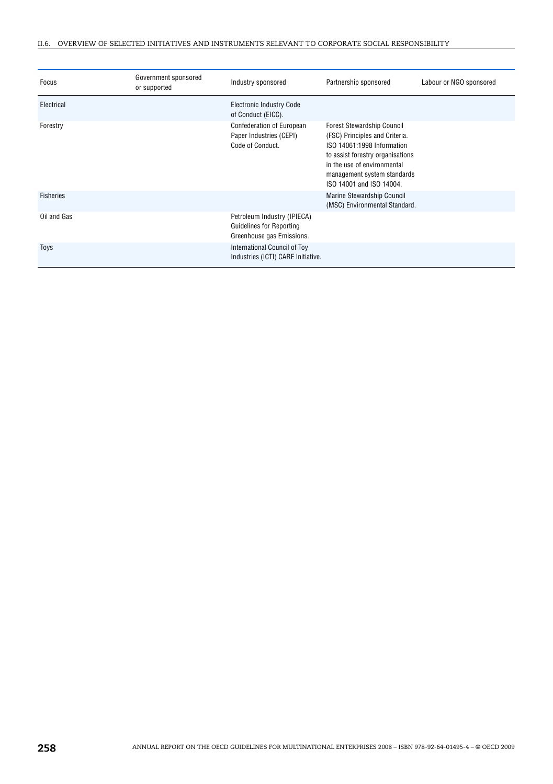| Focus            | Government sponsored<br>or supported | Industry sponsored                                                                          | Partnership sponsored                                                                                                                                                                                                           | Labour or NGO sponsored |
|------------------|--------------------------------------|---------------------------------------------------------------------------------------------|---------------------------------------------------------------------------------------------------------------------------------------------------------------------------------------------------------------------------------|-------------------------|
| Electrical       |                                      | <b>Electronic Industry Code</b><br>of Conduct (EICC).                                       |                                                                                                                                                                                                                                 |                         |
| Forestry         |                                      | Confederation of European<br>Paper Industries (CEPI)<br>Code of Conduct.                    | <b>Forest Stewardship Council</b><br>(FSC) Principles and Criteria.<br>ISO 14061:1998 Information<br>to assist forestry organisations<br>in the use of environmental<br>management system standards<br>ISO 14001 and ISO 14004. |                         |
| <b>Fisheries</b> |                                      |                                                                                             | Marine Stewardship Council<br>(MSC) Environmental Standard.                                                                                                                                                                     |                         |
| Oil and Gas      |                                      | Petroleum Industry (IPIECA)<br><b>Guidelines for Reporting</b><br>Greenhouse gas Emissions. |                                                                                                                                                                                                                                 |                         |
| Toys             |                                      | International Council of Toy<br>Industries (ICTI) CARE Initiative.                          |                                                                                                                                                                                                                                 |                         |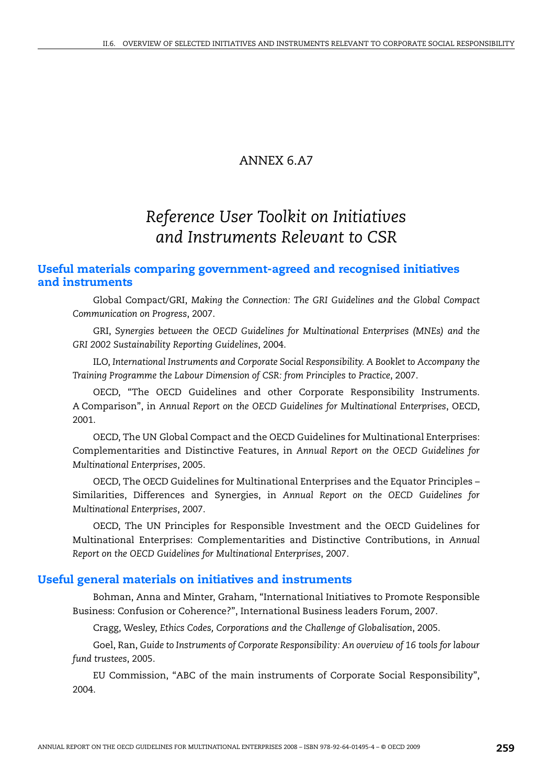# *Reference User Toolkit on Initiatives and Instruments Relevant to CSR*

### **Useful materials comparing government-agreed and recognised initiatives and instruments**

Global Compact/GRI, *Making the Connection: The GRI Guidelines and the Global Compact Communication on Progress*, 2007.

GRI, *Synergies between the OECD Guidelines for Multinational Enterprises (MNEs) and the GRI 2002 Sustainability Reporting Guidelines*, 2004.

ILO, *International Instruments and Corporate Social Responsibility. A Booklet to Accompany the Training Programme the Labour Dimension of CSR: from Principles to Practice*, 2007.

OECD, "The OECD Guidelines and other Corporate Responsibility Instruments. A Comparison", in *Annual Report on the OECD Guidelines for Multinational Enterprises*, OECD, 2001.

OECD, The UN Global Compact and the OECD Guidelines for Multinational Enterprises: Complementarities and Distinctive Features, in *Annual Report on the OECD Guidelines for Multinational Enterprises*, 2005.

OECD, The OECD Guidelines for Multinational Enterprises and the Equator Principles – Similarities, Differences and Synergies, in *Annual Report on the OECD Guidelines for Multinational Enterprises*, 2007.

OECD, The UN Principles for Responsible Investment and the OECD Guidelines for Multinational Enterprises: Complementarities and Distinctive Contributions, in *Annual Report on the OECD Guidelines for Multinational Enterprises*, 2007.

# **Useful general materials on initiatives and instruments**

Bohman, Anna and Minter, Graham, "International Initiatives to Promote Responsible Business: Confusion or Coherence?", International Business leaders Forum, 2007.

Cragg, Wesley, *Ethics Codes, Corporations and the Challenge of Globalisation*, 2005.

Goel, Ran, *Guide to Instruments of Corporate Responsibility: An overview of 16 tools for labour fund trustees*, 2005.

EU Commission, "ABC of the main instruments of Corporate Social Responsibility", 2004.